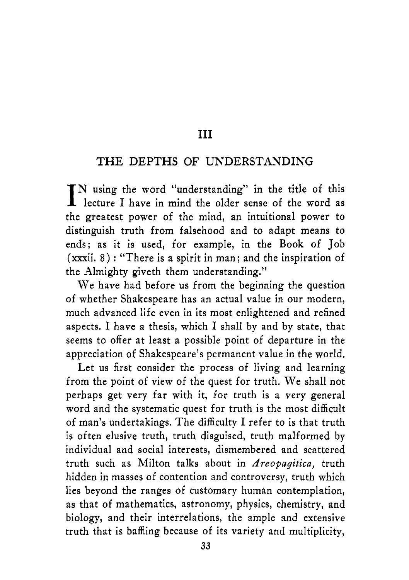**111** 

#### THE DEPTHS OF UNDERSTANDING

IN using the word "understanding" in the title of this lecture I have in mind the older sense of the word as the greatest power of the mind, an intuitional power to distinguish truth from falsehood and to adapt means to ends; as it is used, for example, in the Book of Job (xxxii. 8) : "There is a spirit in man; and the inspiration of the Almighty giveth them understanding."

We have had before us from the beginning the question of whether Shakespeare has an actual value in our modern, much advanced life even in its most enlightened and refined aspects. I have a thesis, which I shall by and by state, that seems to offer at least a possible point of departure in the appreciation of Shakespeare's permanent value in the world.

Let us first consider the process of living and learning from the point of view of the quest for truth. We shall not perhaps get very far with it, for truth is a very general word and the systematic quest for truth is the most difficult of man's undertakings. The difficulty I refer to is that truth is often elusive truth, truth disguised, truth malformed by individual and social interests, dismembered and scattered truth such as Milton talks about in *Areopagitica,* truth hidden in masses of contention and controversy, truth which lies beyond the ranges of customary human contemplation, as that of mathematics, astronomy, physics, chemistry, and biology, and their interrelations, the ample and extensive truth that is baffling because of its variety and multiplicity,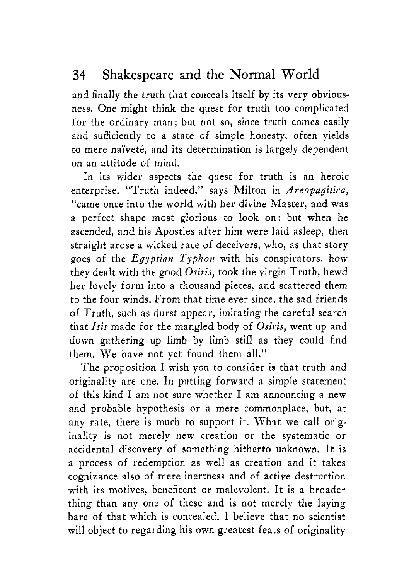and finally the truth that conceals itself by its very obviousness. One might think the quest for truth too complicated for the ordinary man; but not so, since truth comes easily and sufficiently to a state of simple honesty, often yields to mere naïveté, and its determination is largely dependent on an attitude of mind.

In its wider aspects the quest for truth is an heroic enterprise. "Truth indeed," says Milton in *Areopagitica,*  "came once into the world with her divine Master, and was a perfect shape most glorious to look on: but when he ascended, and his Apostles after him were laid asleep, then straight arose a wicked race of deceivers, who, as that story goes of the *Egyptian Typhon* with his conspirators, how they dealt with the good *Osiris,* took the virgin Truth, hewd her lovely form into a thousand pieces, and scattered them to the four winds. From that time ever since, the sad friends of Truth, such as durst appear, imitating the careful search that *Isis* made for the mangled body of *Osiris,* went up and down gathering up limb by limb stiII as they could find them. We have not yet found them all."

The proposition I wish you to consider is that truth and originality are one. In putting forward a simple statement of this kind I am not sure whether I am announcing a new and probable hypothesis or a mere commonplace, but, at any rate, there is much to support it. What we call originality is not merely new creation or the systematic or accidental discovery of something hitherto unknown. It is a process of redemption as well as creation and it takes cognizance also of mere inertness and of active destruction with its motives, beneficent or malevolent. It is a broader thing than any one of these and is not merely the laying bare of that which is concealed. I believe that no scientist will object to regarding his own greatest feats of originality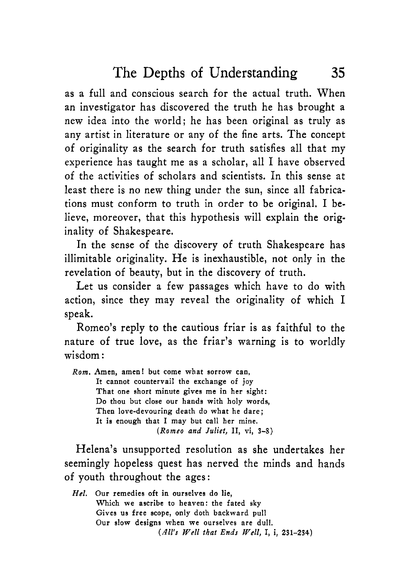as a full and conscious search for the actual truth. When an investigator has discovered the truth he has brought a new idea into the world; he has been original as truly as any artist in literature or any of the fine arts. The concept of originality as the search for truth satisfies all that my experience has taught me as a scholar, all I have observed of the activities of scholars and scientists. In this sense at least there is no new thing under the sun, since all fabrications must conform to truth in order to be original. I believe, moreover, that this hypothesis will explain the originality of Shakespeare.

In the sense of the discovery of truth Shakespeare has illimitable originality. He is inexhaustible, not only in the revelation of beauty, but in the discovery of truth.

Let us consider a few passages which have to do with action, since they may reveal the originality of which I speak.

Romeo's reply to the cautious friar is as faithful to the nature of true love, as the friar's warning is to worldly wisdom :

*Rom.* Amen, amen! but come what sorrow can, It cannot countervail the exchange of joy That one short minute gives me in her sight: Do thou but close our hands with holy words, Then love-devouring death do what he dare; It is enough that I may but call her mine. *(Romeo and Juliet,* 11, vi, *3-8)* 

Helena's unsupported resolution as she undertakes her seemingly hopeless quest has nerved the minds and hands of youth throughout the ages :

*Hel.* Our remedies oft in ourselves do lie, Which we ascribe to heaven: the fated **sky**  Gives us free scope, only doth backward pull Our slow designs when we ourselves are dull. *(All's Well that Ends Well, I,* i, **231-234)**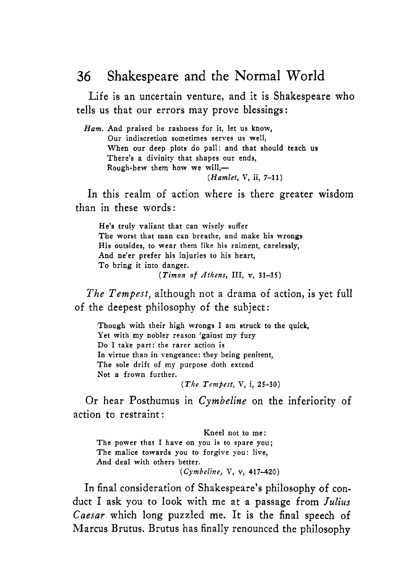Life is an uncertain venture, and it is Shakespeare who tells us that our errors may prove blessings:

*Hum,* And praised be rashness for it, let **us** know, Our indiscretion sometimes serves us well, When our deep plots do pall: and that should teach **us**  There's a divinity that shapes our ends, Rough-hew them how we will, $-$ (Hamlet, V, ii, **7-11)** 

In this realm of action where is there greater wisdom than in these words:

He's truly valiant that can wisely suffer The worst that man can breathe, and make his wrongs His outsides, to wear them like his raiment, carelessly, And ne'er prefer his injuries to his heart, To bring it into danger. *(Timon of Aihens,* 111, v, **31-35)** 

The Tempest, although not a drama of action, is yet full of the deepest philosophy of the subject:

Though with their high wrongs I am struck to the quick, Yet with my nobler reason 'gainst my fury Do I take part: the rarer action is In virtue than in vengeance: they being penitent, The sole drift of my purpose doth extend Not a frown further.

(The Tempest, V, i, **25-30)** 

Or hear Posthumus in *Cymbeline* on the inferiority of action to restraint:

Kneel not to me: The power that I have on you is to spare you; The malice towards you to forgive you: live, And deal with others better. *(Cymbeline,* V, v, **417-420)** 

In final consideration of Shakespeare's philosophy of conduct I ask you to **look** with me at a passage from *Julius Caesar* which long puzzled me. It is the final speech of Marcus Brutus. Brutus has finally renounced the philosophy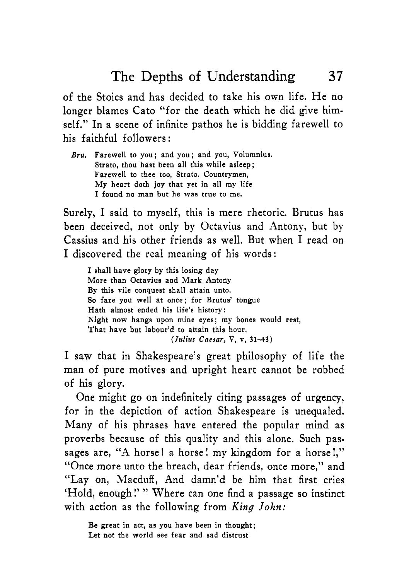of the Stoics and has decided to take his own life. He no longer blames Cato "for the death which he did give himself." In a scene of infinite pathos he is bidding farewell to his faithful followers :

**Bru.** Farewell to you; and you; and you, Volumnius. Strato, thou hast been all this while asleep; Farewell to thee too, Strato. Countrymen, My heart doth joy that yet in all my life I found no man but he was true to me.

Surely, I said to myself, this is mere rhetoric. Brutus has been deceived, not only by Octavius and Antony, but by Cassius and his other friends as well. But when I read on I discovered the real meaning of his words:

I shall have glory by this losing day More than Octavius and Mark Antony By this vile conquest shall attain unto. **So** fare you well at once; for Brutus' tongue Hath almost ended his life's history: Night now hangs upon mine eyes; my bones would rest, That have but labour'd to attain this hour.  $(Julius Caesar, V, v, 31-43)$ 

I saw that in Shakespeare's great philosophy of life the man of pure motives and upright heart cannot be robbed of his glory.

One might go on indefinitely citing passages of urgency, for in the depiction of action Shakespeare is unequaled. Many of his phrases have entered the popular mind as proverbs because of this quality and this alone. Such passages are, "A horse! a horse! my kingdom for a horse!." "Once more unto the breach, dear friends, once more,'' and "Lay on, Macduff, And damn'd be him that first cries 'Hold, enough!' " Where can one find a passage so instinct with action as the following from *King John:* 

Be great in act, as you have been in thought; Let not the world **see** fear and sad distrust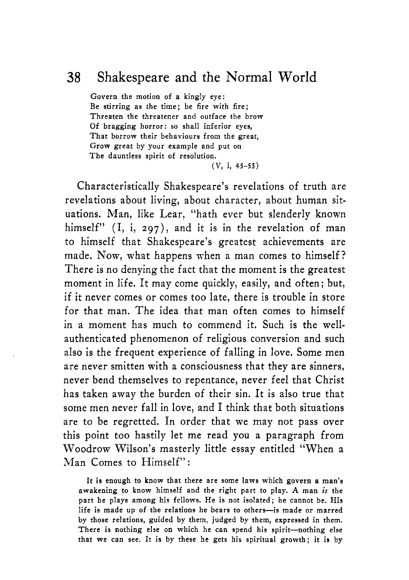Govern the motion of a kingly eye: Be stirring as the time; be fire with fire; Threaten the threatener and outface the brow Of bragging horror: so shall inferior eyes, That borrow their behaviours from the great, Grow great by your example and put on The dauntless spirit of resolution. (V, i, **45-53)** 

Characteristically Shakespeare's revelations of truth are revelations about living, about character, about human situations. Man, like Lear, "hath ever but slenderly known himself" (I, i, **297),** and it is in the revelation of man to himself that Shakespeare's greatest achievements are made. Now, what happens when a man comes to himself? There is no denying the fact that the moment is the greatest moment in life. It may come quickly, easily, and often; but, if it never comes or comes too late, there is trouble in store for that man. The idea that man often comes to himself in a moment has much to commend it. Such is the wellauthenticated phenomenon of religious conversion and such also is the frequent experience of falling in love. Some men are never smitten with a consciousness that they are sinners, never bend themselves to repentance, never feel that Christ has taken away the burden of their sin. It is also true that some men never fall in love, and I think that both situations are to be regretted. In order that we may not pass over this point too hastily let me read you a paragraph from Woodrow Wilson's masterly little essay entitled "When a Man Comes to Himself":

It is enough to know that there are some laws which govern a man's awakening to know himself and the right part to play. A man *is* the part he plays among his fellows. He is not isolated; he cannot be. His life is made up of the relations he bears to others-is made or marred by those relations, guided by them, judged by them, expressed in them. There is nothing else on which he can spend his spirit--nothing else that we can **see.** It is by these he gets his spiritual growth; it is by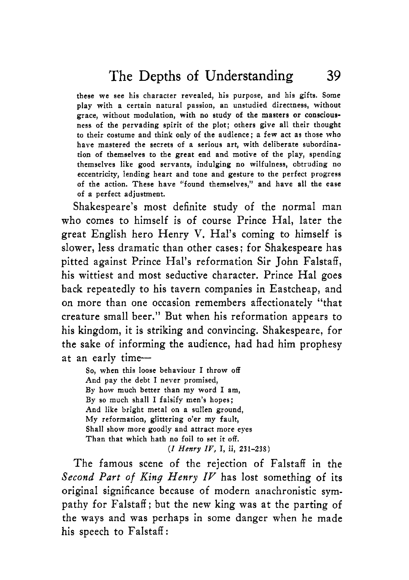these we **see** his character revealed, his purpose, and his gifts. **Some**  play with a certain natural passion, an unstudied directness, without grace, without modulation, with no study of the masters or consciousness of the pervading spirit of the plot; others give all their thought to their costume and think only of the audience; a few act as those who have mastered the secrets of **a** serious art, with deliberate subordination of themselves to the great end and motive of the play, spending themselves like good servants, indulging no wilfulness, obtruding no eccentricity, lending heart and tone and gesture to the perfect progress of the action. These have "found themselves," and have all the ease of a perfect adjustment.

Shakespeare's most definite study of the normal man who comes to himself is of course Prince Hal, later the great English hero Henry V. Hal's coming to himself is slower, less dramatic than other cases; for Shakespeare has pitted against Prince Hal's reformation Sir John Falstaff, his wittiest and most seductive character. Prince Hal goes back repeatedly to his tavern companies in Eastcheap, and on more than one occasion remembers affectionately "that creature small beer." But when his reformation appears to his kingdom, it is striking and convincing. Shakespeare, for the sake of informing the audience, had had him prophesy at an early time-

So, when this loose behaviour I throw off And pay the debt I never promised, By how much better than my word I am, By **so** much shall I falsify men's hopes; And like bright metal on a sullen ground, My reformation, glittering o'er my fault, Shall show more goodly and attract more eyes Than that which hath no foil to set it **off.**  *(I* Henry *ZV,* I, ii, **231-238)** 

The famous scene of the rejection of Falstaff in the *Second Part* of *King Henry IF'* has lost something of its original significance because of modern anachronistic sympathy for Falstaff; but the new king was at the parting of the ways and was perhaps in some danger when he made his speech to Falstaff: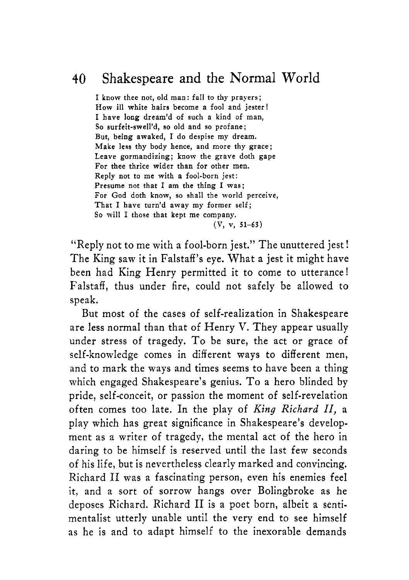I know thee not, old man: fall to thy prayers; How ill white hairs become a fool and jester! I have long dream'd of such a kind of man, **So** surfeit-swell'd, **so** old and **so** profane; But, being awaked, I do despise my dream. Make **less** thy body hence, and more thy grace; Leave gormandizing; know the grave doth gape For thee thrice wider than for other men. Reply not to me with a fool-born jest: Presume not that I am the thing **I** was; For God doth know, **so** shall the world perceive, That I have turn'd away my former self; So will I those that kept me company. **(V, V, 51-63)** 

"Reply not to me with a fool-born jest." The unuttered jest ! The King saw it in Falstaff's eye. What a jest it might have been had King Henry permitted it to come to utterance! Falstaff, thus under fire, could not safely be allowed to speak.

But most of the cases of self-realization in Shakespeare are less normal than that of Henry V. They appear usually under stress of tragedy. To be sure, the act or grace of self-knowledge comes in different ways to different men, and to mark the ways and times seems to have been a thing which engaged Shakespeare's genius. To a hero blinded by pride, self-conceit, or passion the moment of self-revelation often comes too late. In the play of *King Richard II*, a play which has great significance in Shakespeare's development as a writer of tragedy, the mental act of the hero in daring to be himself is reserved until the last few seconds of his life, but is nevertheless clearly marked and convincing. Richard I1 was a fascinating person, even his enemies feel it, and a sort of sorrow hangs over Bolingbroke as he deposes Richard. Richard I1 is a poet born, albeit a sentimentalist utterly unable until the very end to see himself as he is and to adapt himself to the inexorable demands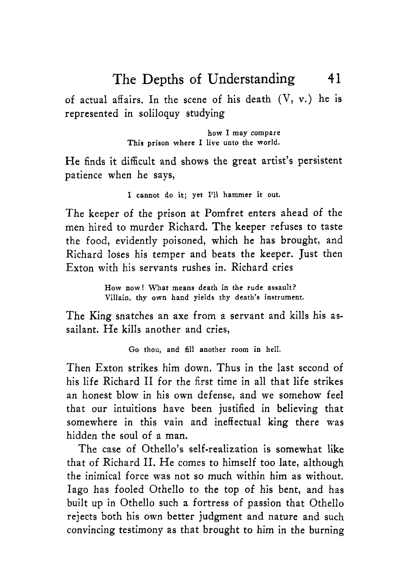of actual affairs. In the scene of his death  $(V, v)$  he is represented in soliloquy studying

> **how I may compare This prison where I live unto the world.**

He finds it difficult and shows the great artist's persistent patience when he says,

**I cannot do it; yet I'll hammer it out.** 

The keeper of the prison at Pomfret enters ahead of the men hired to murder Richard. The keeper refuses to taste the food, evidently poisoned, which he has brought, and Richard loses his temper and beats the keeper. Just then Exton with his servants rushes in. Richard cries

> **How now! What means death in the rude assault? Villain, thy own hand yields thy death's instrument.**

The King snatches an axe from a servant and kills his assailant. He kills another and cries,

*Go* **thou, and fill another room in hell.** 

Then Exton strikes him down. Thus in the last second of his life Richard I1 for the first time in all that life strikes an honest blow in his own defense, and we somehow feel that our intuitions have been justified in believing that somewhere in this vain and ineffectual king there was hidden the soul of a man.

The case of Othello's self-realization is somewhat like that of Richard 11. He comes to himself too late, although the inimical force was not so much within him as without. Iago has fooled Othello to the top of his bent, and has built up in Othello such a fortress of passion that Othello rejects both his own better judgment and nature and such convincing testimony as that brought to him in the burning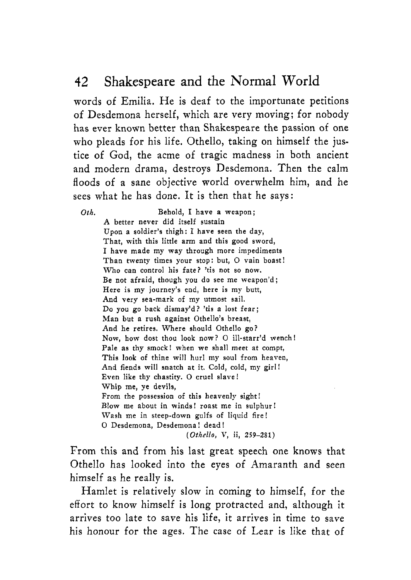words of Emilia. He is deaf to the importunate petitions of Desdemona herself, which are very moving; for nobody has ever known better than Shakespeare the passion of one who pleads for his life. Othello, taking on himself the justice of God, the acme of tragic madness in both ancient and modern drama, destroys Desdemona. Then the calm floods of a sane objective world overwhelm him, and he sees what he has done. It is then that he says:

*Oth.* Behold, I have a weapon; A better never did itself sustain Upon a soldier's thigh: I have seen the day, That, with this little arm and this good sword, I have made my way through more impediments Than twenty times your stop: but, O vain boast! Who can control his fate? 'tis not **so** now. Be not afraid, though you do see me weapon'd; Here is my journey's end, here is my butt, And very sea-mark of my utmost sail. Do you go back dismay'd? 'tis a lost fear; Man but a rush against Othello's breast, And he retires. Where should Othello go? Now, how dost thou look now? 0 ill-starr'd wench! Pale as thy smock! when we shall meet at compt, This look of thine will hurl my soul from heaven, And fiends will snatch at it. Cold, cold, my girl! Even like thy chastity. 0 cruel slave! Whip me, ye devils, From the possession of this heavenly sight! Blow me about in winds! roast me in sulphur! Wash me in steep-down gulfs of liquid fire! 0 Desdemona, Desdemona ! dead ! *(Othello,* V, ii, **259-281)** 

From this and from his last great speech one knows that Othello has looked into the eyes of Amaranth and seen himself as he really is.

Hamlet is relatively slow in coming to himself, for the effort to know himself is long protracted and, although it arrives too late to save his life, it arrives in time to save his honour for the ages. The case of Lear is like that of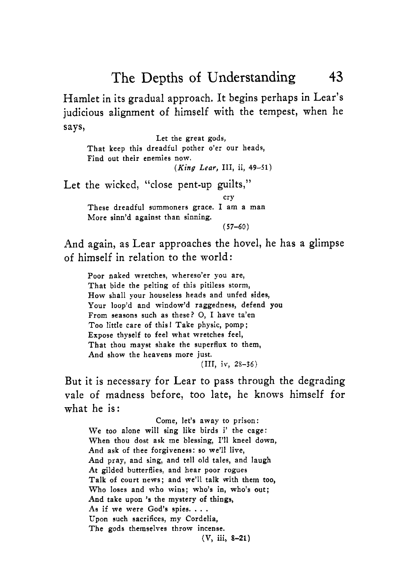Hamlet in its gradual approach. It begins perhaps in Lear's judicious alignment of himself with the tempest, when he says,

Let the great gods, That keep this dreadful pother o'er our heads, Find out their enemies now. *(King* Lear, **111,** ii, **49-51)**  Let the wicked, "close pent-up guilts,"

> cry These dreadful summoners grace. **I** am a man More sinn'd against than sinning. **(57-60)**

And again, as Lear approaches the hovel, he has a glimpse of himself in relation to the world:

Poor naked wretches, whereso'er you are, That bide the pelting of this pitiless storm, How shall your houseless heads and unfed sides, Your loop'd and window'd raggedness, defend you From seasons such as these? 0, I have ta'en Too little care of this! Take physic, pomp; Expose thyself to feel what wretches feel, That thou mayst shake the superflux to them, And show the heavens more just. **(111,** iv, **28-36)** 

But it is necessary for Lear to pass through the degrading vale of madness before, *too* late, he knows himself for what he is:

Come, let's away to prison: We too alone will sing like birds i' the cage: When thou dost ask me blessing, **I'll** kneel down, And ask of thee forgiveness: so we'll live, And pray, and sing, and tell old tales, and laugh At gilded butterflies, and hear poor rogues Talk of court news; and we'll talk with them too, Who loses and who wins; who's in, who's out; And take upon's the mystery of things, As if we were God's spies. . . . Upon such sacrifices, my Cordelia, The gods themselves throw incense. **(V, iii, 8-21)**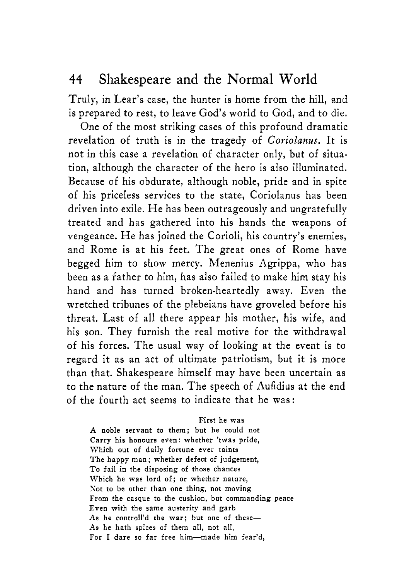Truly, in Lear's case, the hunter is home from the hill, and is prepared to rest, to leave God's world to God, and to die.

One of the most striking cases of this profound dramatic revelation of truth is in the tragedy of *Coriolanus.* It is not in this case a revelation of character only, but of situation, although the character of the hero is also illuminated. Because of his obdurate, although noble, pride and in spite of his priceless services to the state, Coriolanus has been driven into exile. He has been outrageously and ungratefully treated and has gathered into his hands the weapons of vengeance. He has joined the Corioli, his country's enemies, and Rome is at his feet. The great ones of Rome have begged him to show mercy. Menenius Agrippa, who has been as a father to him, has also failed to make him stay his hand and has turned broken-heartedly away. Even the wretched tribunes of the plebeians have groveled before his threat. Last of all there appear his mother, his wife, and his son. They furnish the real motive for the withdrawal of his forces. The usual way of looking at the event is to regard it as an act of ultimate patriotism, but it is more than that. Shakespeare himself may have been uncertain as to the nature of the man. The speech of Aufidius at the end of the fourth act seems to indicate that he was:

#### First he was

**A** noble servant to them; but he could not Carry his **honours** even: whether 'twas pride, Which out of daily fortune ever taints The happy man; whether defect of judgement, To fail in the disposing of those chances Which he was lord of; or whether nature, Not to be other than one thing, not moving From the casque to the cushion, but commanding peace Even with the same austerity and garb As he controll'd the war; but one of these-**As** he hath spices of them all, not all, For I dare **so** far free him-made him fear'd,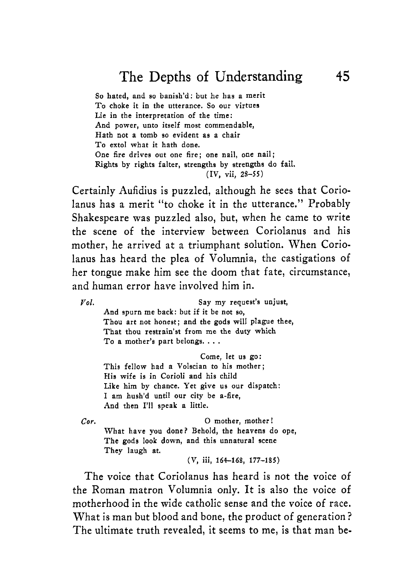So hated, and **so** banish'd: but he has a merit To choke it in the utterance. So our virtues Lie in the interpretation of the time: And power, unto itself most commendable, Hath not a tomb **so** evident as a chair To extol what it hath done. One fire drives out one fire; one nail, one nail; Rights by rights falter, strengths by strengths do fail. (IV, vii, *28-55)* 

Certainly Aufidius is puzzled, although he sees that Coriolanus has a merit "to choke it in the utterance.'' Probably Shakespeare was puzzled also, but, when he came to write the scene of the interview between Coriolanus and his mother, he arrived at a triumphant solution. When Coriolanus has heard the plea of Volumnia, the castigations of her tongue make him see the doom that fate, circumstance, and human error have involved him in.

*Val.* Say my request's unjust, And spurn me back: but if it be not so, Thou art not honest; and the gods will plague thee, That thou restrain'st from me the **duty** which To a mother's part belongs. . . .

> Come, let us go: This fellow had a Volscian to his mother; His wife is in Corioli and his child Like him by chance. Yet give us our dispatch: I am hush'd until our city be a-fire, And then I'll speak a little.

Cor. 0 mother, mother ! What have you done? Behold, the heavens do ope, The gods look down, and this unnatural scene They laugh at.

(VI iii, **164-168, 177-185)** 

The voice that Coriolanus has heard is not the voice of the Roman matron Volumnia only. It is also the voice of motherhood in the wide catholic sense and the voice of race. What is man but blood and bone, the product of generation? The ultimate truth revealed, it seems to me, is that man be-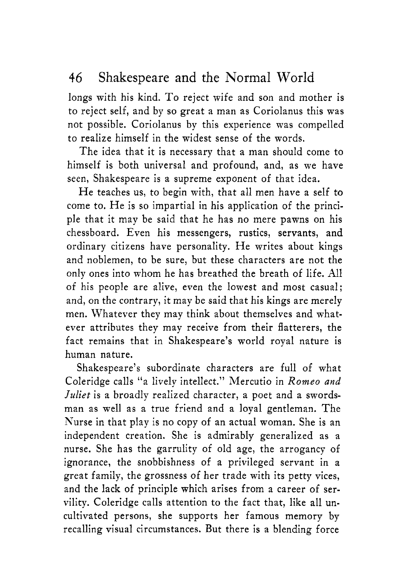longs with his kind. To reject wife and son and mother is to reject self, and by so great a man as Coriolanus this was not possible. Coriolanus by this experience was compelled to realize himself in the widest sense of the words.

The idea that it is necessary that a man should come to himself is both universal and profound, and, as we have seen, Shakespeare is a supreme exponent of that idea.

He teaches us, to begin with, that all men have a self to come to. He is so impartial in his application of the principle that it may be said that he has no mere pawns on his chessboard. Even his messengers, rustics, servants, and ordinary citizens have personality. He writes about kings and noblemen, to be sure, but these characters are not the only ones into whom he has breathed the breath of life. **All**  of his people are alive, even the lowest and most casual; and, on the contrary, it may be said that his kings are merely men. Whatever they may think about themselves and whatever attributes they may receive from their flatterers, the fact remains that in Shakespeare's world royal nature is human nature.

Shakespeare's subordinate characters are full of what Coleridge calls "a lively intellect." Mercutio in *Romeo and Juliet* is a broadly realized character, a poet and a swordsman as well as a true friend and a loyal gentleman. The Nurse in that play is no copy of an actual woman. She is an independent creation. She is admirably generalized as a nurse. She has the garrulity of old age, the arrogancy of ignorance, the snobbishness of a privileged servant in a great family, the grossness of her trade with its petty vices, and the lack of principle which arises from a career of servility. Coleridge calls attention to the fact that, like all uncultivated persons, she supports her famous memory by recalling visual circumstances. But there is a blending force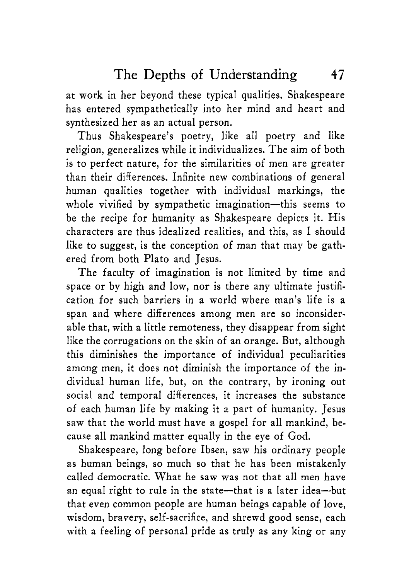at work in her beyond these typical qualities. Shakespeare has entered sympathetically into her mind and heart and synthesized her as an actual person.

Thus Shakespeare's poetry, like all poetry and like religion, generalizes while it individualizes. The aim of both is to perfect nature, for the similarities of men are greater than their differences. Infinite new combinations of general human qualities together with individual markings, the whole vivified by sympathetic imagination--this seems to be the recipe for humanity as Shakespeare depicts it. His characters are thus idealized realities, and this, as I should like to suggest, is the conception of man that may be gathered from both Plato and Jesus.

The faculty of imagination is not limited by time and space or by high and low, nor is there any ultimate justification for such barriers in a world where man's life is a span and where differences among men are so inconsiderable that, with a little remoteness, they disappear from sight like the corrugations on the skin of an orange. But, although this diminishes the importance of individual peculiarities among men, it does not diminish the importance of the individual human life, but, on the contrary, by ironing out social and temporal differences, it increases the substance of each human life by making it a part of humanity. Jesus saw that the world must have a gospel for all mankind, because all mankind matter equally in the eye of God.

Shakespeare, long before Ibsen, saw his ordinary people as human beings, so much so that he has been mistakenly called democratic. What he saw was not that all men have an equal right to rule in the state--that is a later idea--but that even common people are human beings capable of love, wisdom, bravery, self-sacrifice, and shrewd good sense, each with a feeling of personal pride as truly as any king or any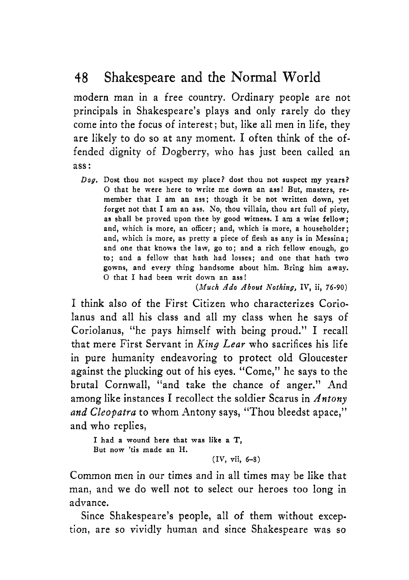modern man in a free country. Ordinary people are not principals in Shakespeare's plays and only rarely do they come into the focus of interest; but, like all men in life, they are likely to do so at any moment. I often think of the offended dignity of Dogberry, who has just been called an ass :

*Dog.* Dost thou not suspect my place? dost thou not suspect my years? 0 that he were here to write me down an ass! But, masters, remember that I am an ass; though it be not written down, yet forget not that I am an ass. No, thou villain, thou art full of piety, as shall be proved upon thee by good witness. I am a wise fellow; and, which is more, an officer; and, which is more, a householder; and, which is more, as pretty a piece of flesh as any is in Messina; and one that knows the law, go to; and a rich fellow enough, go to; and a fellow that hath had losses; and one that hath two gowns, and every thing handsome about him. Bring him away. 0 that I had been writ down an ass!

*(Much Ado About Nothing,* IV, **ii,** *76-90)* 

I think also of the First Citizen who characterizes Coriolanus and all his class and all my class when he says of Coriolanus, "he pays himself with being proud." I recall that mere First Servant in *King Lear* who sacrifices his life in pure humanity endeavoring to protect old Gloucester against the plucking out of his eyes. "Come," he says to the brutal Cornwall, "and take the chance of anger." And among like instances I recollect the soldier Scarus in *Antony and Cleopatra* to whom Antony says, "Thou bleedst apace," and who replies,

I had a wound here that was like a T, But now 'tis made an H.

(IV, vii, 6-8)

Common men in our times and in all times may be like that man, and we do well not to select our heroes too long in advance.

Since Shakespeare's people, all of them without exception, are so vividly human and since Shakespeare was so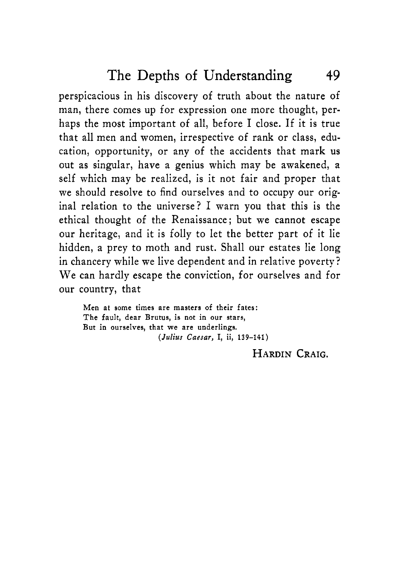perspicacious in his discovery of truth about the nature of man, there comes up for expression one more thought, perhaps the most important of all, before I close. If it is true that all men and women, irrespective of rank or class, education, opportunity, or any of the accidents that mark us out as singular, have a genius which may be awakened, a self which may be realized, is it not fair and proper that we should resolve to find ourselves and to occupy our original relation to the universe? I warn you that this is the ethical thought of the Renaissance; but we cannot escape our heritage, and it is folly to let the better part of it lie hidden, a prey to moth and rust. Shall our estates lie long in chancery while we live dependent and in relative poverty? We can hardly escape the conviction, for ourselves and for our country, that

**Men at some times are masters of their fates: The fault, dear Brutus, is not in our stars, But in ourselves, that we are underlings.**  *(Julius Caesar,* **I, ii, 139-141)** 

**HARDIN CRAIG.**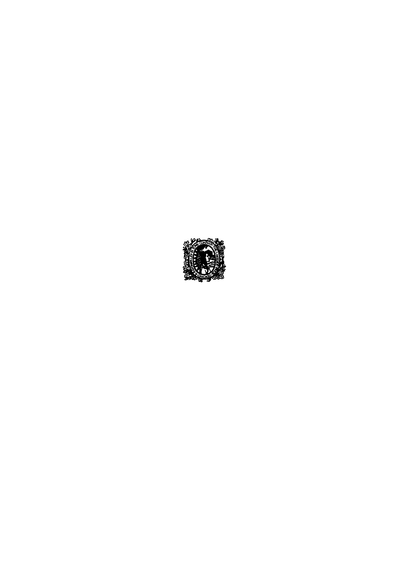